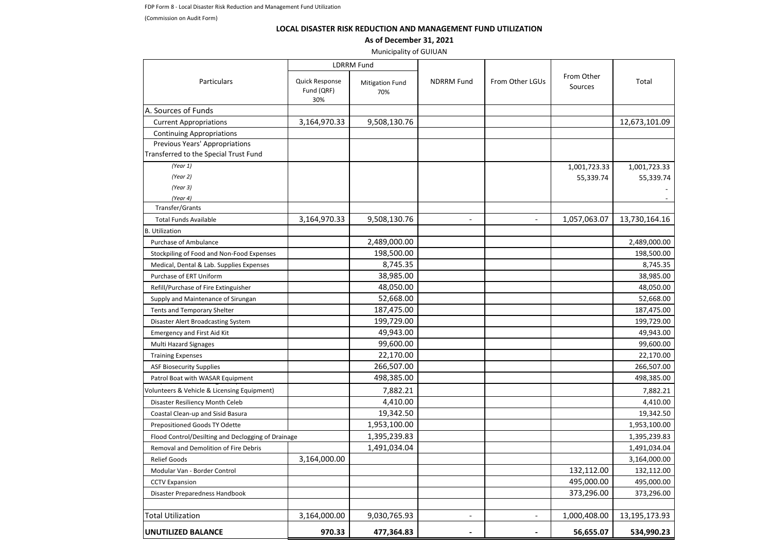FDP Form 8 - Local Disaster Risk Reduction and Management Fund Utilization

(Commission on Audit Form)

## **LOCAL DISASTER RISK REDUCTION AND MANAGEMENT FUND UTILIZATION**

## **As of December 31, 2021**

Municipality of GUIUAN

|                                                    | <b>LDRRM Fund</b>                   |                               |                          |                          |                       |               |
|----------------------------------------------------|-------------------------------------|-------------------------------|--------------------------|--------------------------|-----------------------|---------------|
| Particulars                                        | Quick Response<br>Fund (QRF)<br>30% | <b>Mitigation Fund</b><br>70% | <b>NDRRM Fund</b>        | From Other LGUs          | From Other<br>Sources | Total         |
| A. Sources of Funds                                |                                     |                               |                          |                          |                       |               |
| <b>Current Appropriations</b>                      | 3,164,970.33                        | 9,508,130.76                  |                          |                          |                       | 12,673,101.09 |
| <b>Continuing Appropriations</b>                   |                                     |                               |                          |                          |                       |               |
| Previous Years' Appropriations                     |                                     |                               |                          |                          |                       |               |
| Transferred to the Special Trust Fund              |                                     |                               |                          |                          |                       |               |
| (Year 1)                                           |                                     |                               |                          |                          | 1,001,723.33          | 1,001,723.33  |
| (Year 2)                                           |                                     |                               |                          |                          | 55,339.74             | 55,339.74     |
| (Year 3)                                           |                                     |                               |                          |                          |                       |               |
| (Year 4)                                           |                                     |                               |                          |                          |                       |               |
| Transfer/Grants                                    |                                     |                               |                          |                          |                       |               |
| <b>Total Funds Available</b>                       | 3,164,970.33                        | 9,508,130.76                  | $\overline{a}$           |                          | 1,057,063.07          | 13,730,164.16 |
| <b>B.</b> Utilization                              |                                     |                               |                          |                          |                       |               |
| Purchase of Ambulance                              |                                     | 2,489,000.00                  |                          |                          |                       | 2,489,000.00  |
| Stockpiling of Food and Non-Food Expenses          |                                     | 198,500.00                    |                          |                          |                       | 198,500.00    |
| Medical, Dental & Lab. Supplies Expenses           |                                     | 8,745.35                      |                          |                          |                       | 8,745.35      |
| Purchase of ERT Uniform                            |                                     | 38,985.00                     |                          |                          |                       | 38,985.00     |
| Refill/Purchase of Fire Extinguisher               |                                     | 48,050.00                     |                          |                          |                       | 48,050.00     |
| Supply and Maintenance of Sirungan                 |                                     | 52,668.00                     |                          |                          |                       | 52,668.00     |
| Tents and Temporary Shelter                        |                                     | 187,475.00                    |                          |                          |                       | 187,475.00    |
| Disaster Alert Broadcasting System                 |                                     | 199,729.00                    |                          |                          |                       | 199,729.00    |
| <b>Emergency and First Aid Kit</b>                 |                                     | 49,943.00                     |                          |                          |                       | 49,943.00     |
| Multi Hazard Signages                              |                                     | 99,600.00                     |                          |                          |                       | 99,600.00     |
| <b>Training Expenses</b>                           |                                     | 22,170.00                     |                          |                          |                       | 22,170.00     |
| <b>ASF Biosecurity Supplies</b>                    |                                     | 266,507.00                    |                          |                          |                       | 266,507.00    |
| Patrol Boat with WASAR Equipment                   |                                     | 498,385.00                    |                          |                          |                       | 498,385.00    |
| Volunteers & Vehicle & Licensing Equipment)        |                                     | 7,882.21                      |                          |                          |                       | 7,882.21      |
| Disaster Resiliency Month Celeb                    |                                     | 4,410.00                      |                          |                          |                       | 4,410.00      |
| Coastal Clean-up and Sisid Basura                  |                                     | 19,342.50                     |                          |                          |                       | 19,342.50     |
| Prepositioned Goods TY Odette                      |                                     | 1,953,100.00                  |                          |                          |                       | 1,953,100.00  |
| Flood Control/Desilting and Declogging of Drainage |                                     | 1,395,239.83                  |                          |                          |                       | 1,395,239.83  |
| Removal and Demolition of Fire Debris              |                                     | 1,491,034.04                  |                          |                          |                       | 1,491,034.04  |
| <b>Relief Goods</b>                                | 3,164,000.00                        |                               |                          |                          |                       | 3,164,000.00  |
| Modular Van - Border Control                       |                                     |                               |                          |                          | 132,112.00            | 132,112.00    |
| <b>CCTV Expansion</b>                              |                                     |                               |                          |                          | 495,000.00            | 495,000.00    |
| Disaster Preparedness Handbook                     |                                     |                               |                          |                          | 373,296.00            | 373,296.00    |
|                                                    |                                     |                               |                          |                          |                       |               |
| <b>Total Utilization</b>                           | 3,164,000.00                        | 9,030,765.93                  | $\overline{\phantom{a}}$ | $\overline{\phantom{a}}$ | 1,000,408.00          | 13,195,173.93 |
| UNUTILIZED BALANCE                                 | 970.33                              | 477,364.83                    |                          | $\sim$                   | 56,655.07             | 534,990.23    |